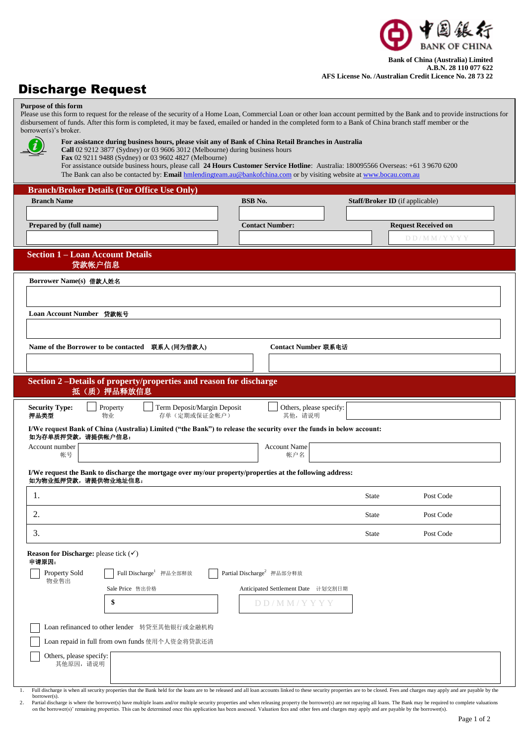

## **Bank of China (Australia) Limited A.B.N. 28 110 077 622 AFS License No. /Australian Credit Licence No. 28 73 22**

## Discharge Request

| <b>Purpose of this form</b><br>Please use this form to request for the release of the security of a Home Loan, Commercial Loan or other loan account permitted by the Bank and to provide instructions for<br>disbursement of funds. After this form is completed, it may be faxed, emailed or handed in the completed form to a Bank of China branch staff member or the<br>borrower(s)'s broker.                                                                                                            |                                                  |              |                                        |  |
|---------------------------------------------------------------------------------------------------------------------------------------------------------------------------------------------------------------------------------------------------------------------------------------------------------------------------------------------------------------------------------------------------------------------------------------------------------------------------------------------------------------|--------------------------------------------------|--------------|----------------------------------------|--|
| For assistance during business hours, please visit any of Bank of China Retail Branches in Australia<br>Call 02 9212 3877 (Sydney) or 03 9606 3012 (Melbourne) during business hours<br>Fax 02 9211 9488 (Sydney) or 03 9602 4827 (Melbourne)<br>For assistance outside business hours, please call 24 Hours Customer Service Hotline: Australia: 180095566 Overseas: +61 3 9670 6200<br>The Bank can also be contacted by: Email hmlendingteam.au@bankofchina.com or by visiting website at www.bocau.com.au |                                                  |              |                                        |  |
| <b>Branch/Broker Details (For Office Use Only)</b>                                                                                                                                                                                                                                                                                                                                                                                                                                                            |                                                  |              |                                        |  |
| <b>Branch Name</b>                                                                                                                                                                                                                                                                                                                                                                                                                                                                                            | <b>BSB</b> No.                                   |              | <b>Staff/Broker ID</b> (if applicable) |  |
| Prepared by (full name)                                                                                                                                                                                                                                                                                                                                                                                                                                                                                       | <b>Contact Number:</b>                           |              | <b>Request Received on</b>             |  |
|                                                                                                                                                                                                                                                                                                                                                                                                                                                                                                               |                                                  |              | DD/MM/YYYY                             |  |
| <b>Section 1 – Loan Account Details</b><br>贷款帐户信息                                                                                                                                                                                                                                                                                                                                                                                                                                                             |                                                  |              |                                        |  |
| Borrower Name(s) 借款人姓名                                                                                                                                                                                                                                                                                                                                                                                                                                                                                        |                                                  |              |                                        |  |
|                                                                                                                                                                                                                                                                                                                                                                                                                                                                                                               |                                                  |              |                                        |  |
| Loan Account Number 贷款帐号                                                                                                                                                                                                                                                                                                                                                                                                                                                                                      |                                                  |              |                                        |  |
|                                                                                                                                                                                                                                                                                                                                                                                                                                                                                                               |                                                  |              |                                        |  |
| Name of the Borrower to be contacted     联系人 (同为借款人)                                                                                                                                                                                                                                                                                                                                                                                                                                                          | Contact Number 联系电话                              |              |                                        |  |
|                                                                                                                                                                                                                                                                                                                                                                                                                                                                                                               |                                                  |              |                                        |  |
| Section 2-Details of property/properties and reason for discharge                                                                                                                                                                                                                                                                                                                                                                                                                                             |                                                  |              |                                        |  |
| 抵(质) 押品释放信息                                                                                                                                                                                                                                                                                                                                                                                                                                                                                                   |                                                  |              |                                        |  |
| <b>Security Type:</b><br>Property<br>Term Deposit/Margin Deposit<br>押品类型<br>物业<br>存单(定期或保证金帐户)                                                                                                                                                                                                                                                                                                                                                                                                                | Others, please specify:<br>其他,请说明                |              |                                        |  |
| I/We request Bank of China (Australia) Limited ("the Bank") to release the security over the funds in below account:<br>如为存单质押贷款,请提供帐户信息:                                                                                                                                                                                                                                                                                                                                                                     |                                                  |              |                                        |  |
| Account number<br>帐号                                                                                                                                                                                                                                                                                                                                                                                                                                                                                          | <b>Account Name</b><br>帐户名                       |              |                                        |  |
| I/We request the Bank to discharge the mortgage over my/our property/properties at the following address:<br>如为物业抵押贷款,请提供物业地址信息:                                                                                                                                                                                                                                                                                                                                                                              |                                                  |              |                                        |  |
| 1.                                                                                                                                                                                                                                                                                                                                                                                                                                                                                                            |                                                  | State        | Post Code                              |  |
| 2.                                                                                                                                                                                                                                                                                                                                                                                                                                                                                                            |                                                  | <b>State</b> | Post Code                              |  |
| 3.                                                                                                                                                                                                                                                                                                                                                                                                                                                                                                            |                                                  | <b>State</b> | Post Code                              |  |
| <b>Reason for Discharge:</b> please tick $(\checkmark)$                                                                                                                                                                                                                                                                                                                                                                                                                                                       |                                                  |              |                                        |  |
| 申请原因:                                                                                                                                                                                                                                                                                                                                                                                                                                                                                                         |                                                  |              |                                        |  |
| Property Sold<br>Full Discharge <sup>1</sup> 押品全部释放<br>物业售出                                                                                                                                                                                                                                                                                                                                                                                                                                                   | Partial Discharge <sup>2</sup> 押品部分释放            |              |                                        |  |
| Sale Price 售出价格<br>\$                                                                                                                                                                                                                                                                                                                                                                                                                                                                                         | Anticipated Settlement Date 计划交割目期<br>DD/MM/YYYY |              |                                        |  |
|                                                                                                                                                                                                                                                                                                                                                                                                                                                                                                               |                                                  |              |                                        |  |
| Loan refinanced to other lender 转贷至其他银行或金融机构                                                                                                                                                                                                                                                                                                                                                                                                                                                                  |                                                  |              |                                        |  |
| Loan repaid in full from own funds 使用个人资金将贷款还清                                                                                                                                                                                                                                                                                                                                                                                                                                                                |                                                  |              |                                        |  |
| Others, please specify:<br>其他原因,请说明                                                                                                                                                                                                                                                                                                                                                                                                                                                                           |                                                  |              |                                        |  |
|                                                                                                                                                                                                                                                                                                                                                                                                                                                                                                               |                                                  |              |                                        |  |
| Full discharge is when all security properties that the Rank held for the loans are to be released and all loan accounts linked to these security properties are to be closed. Fees and charges may apply and are navable by t                                                                                                                                                                                                                                                                                |                                                  |              |                                        |  |

Full discharge is when all security properties that the Bank held for the loans are to be released and all loan accounts linked to these security properties are to be closed. Fees and charges may apply and are payable by t